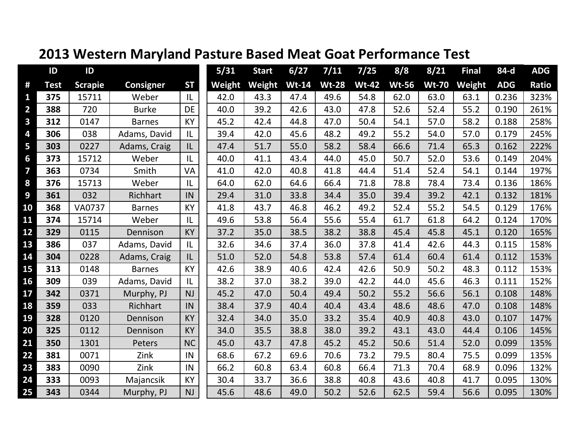|                         | ID          | ID             |                  |           | 5/31   | <b>Start</b> | 6/27    | 7/11         | 7/25         | 8/8          | 8/21         | <b>Final</b> | 84-d       | <b>ADG</b>   |
|-------------------------|-------------|----------------|------------------|-----------|--------|--------------|---------|--------------|--------------|--------------|--------------|--------------|------------|--------------|
| #                       | <b>Test</b> | <b>Scrapie</b> | <b>Consigner</b> | <b>ST</b> | Weight | Weight       | $Wt-14$ | <b>Wt-28</b> | <b>Wt-42</b> | <b>Wt-56</b> | <b>Wt-70</b> | Weight       | <b>ADG</b> | <b>Ratio</b> |
| 1                       | 375         | 15711          | Weber            | IL        | 42.0   | 43.3         | 47.4    | 49.6         | 54.8         | 62.0         | 63.0         | 63.1         | 0.236      | 323%         |
| $\overline{2}$          | 388         | 720            | <b>Burke</b>     | DE        | 40.0   | 39.2         | 42.6    | 43.0         | 47.8         | 52.6         | 52.4         | 55.2         | 0.190      | 261%         |
| $\mathbf{3}$            | 312         | 0147           | <b>Barnes</b>    | KY        | 45.2   | 42.4         | 44.8    | 47.0         | 50.4         | 54.1         | 57.0         | 58.2         | 0.188      | 258%         |
| 4                       | 306         | 038            | Adams, David     | IL        | 39.4   | 42.0         | 45.6    | 48.2         | 49.2         | 55.2         | 54.0         | 57.0         | 0.179      | 245%         |
| 5                       | 303         | 0227           | Adams, Craig     | IL        | 47.4   | 51.7         | 55.0    | 58.2         | 58.4         | 66.6         | 71.4         | 65.3         | 0.162      | 222%         |
| 6                       | 373         | 15712          | Weber            | IL        | 40.0   | 41.1         | 43.4    | 44.0         | 45.0         | 50.7         | 52.0         | 53.6         | 0.149      | 204%         |
| $\overline{\mathbf{z}}$ | 363         | 0734           | Smith            | VA        | 41.0   | 42.0         | 40.8    | 41.8         | 44.4         | 51.4         | 52.4         | 54.1         | 0.144      | 197%         |
| 8                       | 376         | 15713          | Weber            | L         | 64.0   | 62.0         | 64.6    | 66.4         | 71.8         | 78.8         | 78.4         | 73.4         | 0.136      | 186%         |
| 9                       | 361         | 032            | Richhart         | IN        | 29.4   | 31.0         | 33.8    | 34.4         | 35.0         | 39.4         | 39.2         | 42.1         | 0.132      | 181%         |
| 10                      | 368         | <b>VA0737</b>  | <b>Barnes</b>    | <b>KY</b> | 41.8   | 43.7         | 46.8    | 46.2         | 49.2         | 52.4         | 55.2         | 54.5         | 0.129      | 176%         |
| 11                      | 374         | 15714          | Weber            | IL        | 49.6   | 53.8         | 56.4    | 55.6         | 55.4         | 61.7         | 61.8         | 64.2         | 0.124      | 170%         |
| 12                      | 329         | 0115           | Dennison         | KY        | 37.2   | 35.0         | 38.5    | 38.2         | 38.8         | 45.4         | 45.8         | 45.1         | 0.120      | 165%         |
| 13                      | 386         | 037            | Adams, David     | IL        | 32.6   | 34.6         | 37.4    | 36.0         | 37.8         | 41.4         | 42.6         | 44.3         | 0.115      | 158%         |
| 14                      | 304         | 0228           | Adams, Craig     | IL        | 51.0   | 52.0         | 54.8    | 53.8         | 57.4         | 61.4         | 60.4         | 61.4         | 0.112      | 153%         |
| 15                      | 313         | 0148           | <b>Barnes</b>    | <b>KY</b> | 42.6   | 38.9         | 40.6    | 42.4         | 42.6         | 50.9         | 50.2         | 48.3         | 0.112      | 153%         |
| 16                      | 309         | 039            | Adams, David     | IL        | 38.2   | 37.0         | 38.2    | 39.0         | 42.2         | 44.0         | 45.6         | 46.3         | 0.111      | 152%         |
| 17                      | 342         | 0371           | Murphy, PJ       | <b>NJ</b> | 45.2   | 47.0         | 50.4    | 49.4         | 50.2         | 55.2         | 56.6         | 56.1         | 0.108      | 148%         |
| 18                      | 359         | 033            | Richhart         | IN        | 38.4   | 37.9         | 40.4    | 40.4         | 43.4         | 48.6         | 48.6         | 47.0         | 0.108      | 148%         |
| 19                      | 328         | 0120           | Dennison         | KY        | 32.4   | 34.0         | 35.0    | 33.2         | 35.4         | 40.9         | 40.8         | 43.0         | 0.107      | 147%         |
| 20                      | 325         | 0112           | Dennison         | KY        | 34.0   | 35.5         | 38.8    | 38.0         | 39.2         | 43.1         | 43.0         | 44.4         | 0.106      | 145%         |
| 21                      | 350         | 1301           | Peters           | <b>NC</b> | 45.0   | 43.7         | 47.8    | 45.2         | 45.2         | 50.6         | 51.4         | 52.0         | 0.099      | 135%         |
| 22                      | 381         | 0071           | Zink             | IN        | 68.6   | 67.2         | 69.6    | 70.6         | 73.2         | 79.5         | 80.4         | 75.5         | 0.099      | 135%         |
| 23                      | 383         | 0090           | Zink             | IN        | 66.2   | 60.8         | 63.4    | 60.8         | 66.4         | 71.3         | 70.4         | 68.9         | 0.096      | 132%         |
| 24                      | 333         | 0093           | Majancsik        | KY        | 30.4   | 33.7         | 36.6    | 38.8         | 40.8         | 43.6         | 40.8         | 41.7         | 0.095      | 130%         |
| 25                      | 343         | 0344           | Murphy, PJ       | <b>NJ</b> | 45.6   | 48.6         | 49.0    | 50.2         | 52.6         | 62.5         | 59.4         | 56.6         | 0.095      | 130%         |

## **2013 Western Maryland Pasture Based Meat Goat Performance Test**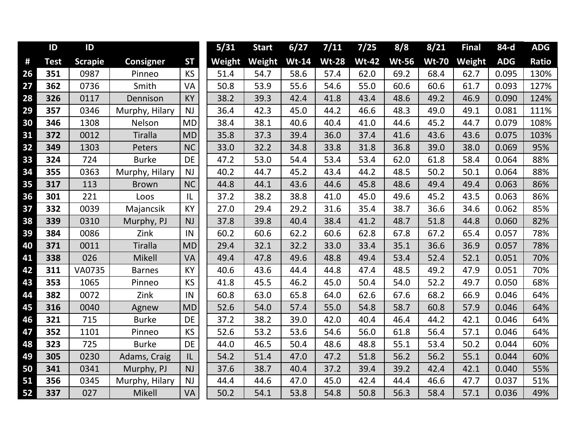|    | ID          | ID             |                  |           | 5/31   | <b>Start</b> | 6/27    | 7/11         | 7/25         | 8/8          | 8/21         | <b>Final</b> | 84-d       | <b>ADG</b> |
|----|-------------|----------------|------------------|-----------|--------|--------------|---------|--------------|--------------|--------------|--------------|--------------|------------|------------|
| #  | <b>Test</b> | <b>Scrapie</b> | <b>Consigner</b> | <b>ST</b> | Weight | Weight       | $Wt-14$ | <b>Wt-28</b> | <b>Wt-42</b> | <b>Wt-56</b> | <b>Wt-70</b> | Weight       | <b>ADG</b> | Ratio      |
| 26 | 351         | 0987           | Pinneo           | <b>KS</b> | 51.4   | 54.7         | 58.6    | 57.4         | 62.0         | 69.2         | 68.4         | 62.7         | 0.095      | 130%       |
| 27 | 362         | 0736           | Smith            | VA        | 50.8   | 53.9         | 55.6    | 54.6         | 55.0         | 60.6         | 60.6         | 61.7         | 0.093      | 127%       |
| 28 | 326         | 0117           | Dennison         | <b>KY</b> | 38.2   | 39.3         | 42.4    | 41.8         | 43.4         | 48.6         | 49.2         | 46.9         | 0.090      | 124%       |
| 29 | 357         | 0346           | Murphy, Hilary   | <b>NJ</b> | 36.4   | 42.3         | 45.0    | 44.2         | 46.6         | 48.3         | 49.0         | 49.1         | 0.081      | 111%       |
| 30 | 346         | 1308           | Nelson           | <b>MD</b> | 38.4   | 38.1         | 40.6    | 40.4         | 41.0         | 44.6         | 45.2         | 44.7         | 0.079      | 108%       |
| 31 | 372         | 0012           | <b>Tiralla</b>   | <b>MD</b> | 35.8   | 37.3         | 39.4    | 36.0         | 37.4         | 41.6         | 43.6         | 43.6         | 0.075      | 103%       |
| 32 | 349         | 1303           | Peters           | <b>NC</b> | 33.0   | 32.2         | 34.8    | 33.8         | 31.8         | 36.8         | 39.0         | 38.0         | 0.069      | 95%        |
| 33 | 324         | 724            | <b>Burke</b>     | <b>DE</b> | 47.2   | 53.0         | 54.4    | 53.4         | 53.4         | 62.0         | 61.8         | 58.4         | 0.064      | 88%        |
| 34 | 355         | 0363           | Murphy, Hilary   | <b>NJ</b> | 40.2   | 44.7         | 45.2    | 43.4         | 44.2         | 48.5         | 50.2         | 50.1         | 0.064      | 88%        |
| 35 | 317         | 113            | <b>Brown</b>     | <b>NC</b> | 44.8   | 44.1         | 43.6    | 44.6         | 45.8         | 48.6         | 49.4         | 49.4         | 0.063      | 86%        |
| 36 | 301         | 221            | Loos             | L         | 37.2   | 38.2         | 38.8    | 41.0         | 45.0         | 49.6         | 45.2         | 43.5         | 0.063      | 86%        |
| 37 | 332         | 0039           | Majancsik        | <b>KY</b> | 27.0   | 29.4         | 29.2    | 31.6         | 35.4         | 38.7         | 36.6         | 34.6         | 0.062      | 85%        |
| 38 | 339         | 0310           | Murphy, PJ       | <b>NJ</b> | 37.8   | 39.8         | 40.4    | 38.4         | 41.2         | 48.7         | 51.8         | 44.8         | 0.060      | 82%        |
| 39 | 384         | 0086           | Zink             | IN        | 60.2   | 60.6         | 62.2    | 60.6         | 62.8         | 67.8         | 67.2         | 65.4         | 0.057      | 78%        |
| 40 | 371         | 0011           | <b>Tiralla</b>   | <b>MD</b> | 29.4   | 32.1         | 32.2    | 33.0         | 33.4         | 35.1         | 36.6         | 36.9         | 0.057      | 78%        |
| 41 | 338         | 026            | Mikell           | VA        | 49.4   | 47.8         | 49.6    | 48.8         | 49.4         | 53.4         | 52.4         | 52.1         | 0.051      | 70%        |
| 42 | 311         | VA0735         | <b>Barnes</b>    | <b>KY</b> | 40.6   | 43.6         | 44.4    | 44.8         | 47.4         | 48.5         | 49.2         | 47.9         | 0.051      | 70%        |
| 43 | 353         | 1065           | Pinneo           | <b>KS</b> | 41.8   | 45.5         | 46.2    | 45.0         | 50.4         | 54.0         | 52.2         | 49.7         | 0.050      | 68%        |
| 44 | 382         | 0072           | Zink             | IN        | 60.8   | 63.0         | 65.8    | 64.0         | 62.6         | 67.6         | 68.2         | 66.9         | 0.046      | 64%        |
| 45 | 316         | 0040           | Agnew            | <b>MD</b> | 52.6   | 54.0         | 57.4    | 55.0         | 54.8         | 58.7         | 60.8         | 57.9         | 0.046      | 64%        |
| 46 | 321         | 715            | <b>Burke</b>     | <b>DE</b> | 37.2   | 38.2         | 39.0    | 42.0         | 40.4         | 46.4         | 44.2         | 42.1         | 0.046      | 64%        |
| 47 | 352         | 1101           | Pinneo           | KS        | 52.6   | 53.2         | 53.6    | 54.6         | 56.0         | 61.8         | 56.4         | 57.1         | 0.046      | 64%        |
| 48 | 323         | 725            | <b>Burke</b>     | DE        | 44.0   | 46.5         | 50.4    | 48.6         | 48.8         | 55.1         | 53.4         | 50.2         | 0.044      | 60%        |
| 49 | 305         | 0230           | Adams, Craig     | IL        | 54.2   | 51.4         | 47.0    | 47.2         | 51.8         | 56.2         | 56.2         | 55.1         | 0.044      | 60%        |
| 50 | 341         | 0341           | Murphy, PJ       | <b>NJ</b> | 37.6   | 38.7         | 40.4    | 37.2         | 39.4         | 39.2         | 42.4         | 42.1         | 0.040      | 55%        |
| 51 | 356         | 0345           | Murphy, Hilary   | <b>NJ</b> | 44.4   | 44.6         | 47.0    | 45.0         | 42.4         | 44.4         | 46.6         | 47.7         | 0.037      | 51%        |
| 52 | 337         | 027            | Mikell           | VA        | 50.2   | 54.1         | 53.8    | 54.8         | 50.8         | 56.3         | 58.4         | 57.1         | 0.036      | 49%        |